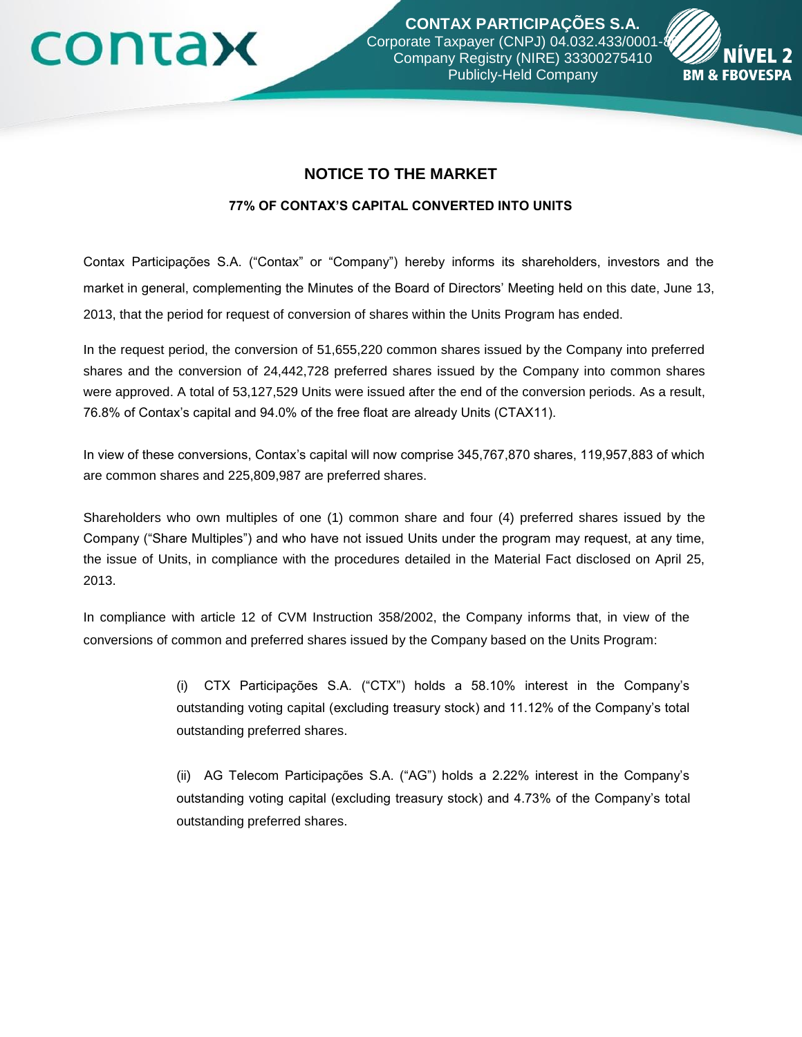## contax

**CONTAX PARTICIPAÇÕES S.A.** Corporate Taxpayer (CNPJ) 04.032.433/0001-Company Registry (NIRE) 33300275410 Publicly-Held Company



## **NOTICE TO THE MARKET**

## **77% OF CONTAX'S CAPITAL CONVERTED INTO UNITS**

Contax Participações S.A. ("Contax" or "Company") hereby informs its shareholders, investors and the market in general, complementing the Minutes of the Board of Directors' Meeting held on this date, June 13, 2013, that the period for request of conversion of shares within the Units Program has ended.

In the request period, the conversion of 51,655,220 common shares issued by the Company into preferred shares and the conversion of 24,442,728 preferred shares issued by the Company into common shares were approved. A total of 53,127,529 Units were issued after the end of the conversion periods. As a result, 76.8% of Contax's capital and 94.0% of the free float are already Units (CTAX11).

In view of these conversions, Contax's capital will now comprise 345,767,870 shares, 119,957,883 of which are common shares and 225,809,987 are preferred shares.

Shareholders who own multiples of one (1) common share and four (4) preferred shares issued by the Company ("Share Multiples") and who have not issued Units under the program may request, at any time, the issue of Units, in compliance with the procedures detailed in the Material Fact disclosed on April 25, 2013.

In compliance with article 12 of CVM Instruction 358/2002, the Company informs that, in view of the conversions of common and preferred shares issued by the Company based on the Units Program:

> (i) CTX Participações S.A. ("CTX") holds a 58.10% interest in the Company's outstanding voting capital (excluding treasury stock) and 11.12% of the Company's total outstanding preferred shares.

> (ii) AG Telecom Participações S.A. ("AG") holds a 2.22% interest in the Company's outstanding voting capital (excluding treasury stock) and 4.73% of the Company's total outstanding preferred shares.